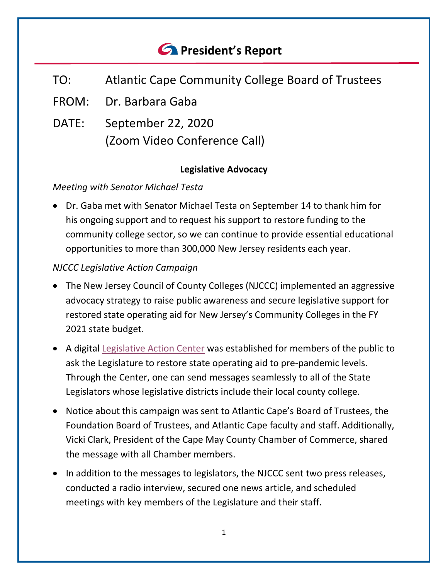# *<u>C* President's Report</u>

- TO: Atlantic Cape Community College Board of Trustees
- FROM: Dr. Barbara Gaba
- DATE: September 22, 2020 (Zoom Video Conference Call)

# **Legislative Advocacy**

#### *Meeting with Senator Michael Testa*

• Dr. Gaba met with Senator Michael Testa on September 14 to thank him for his ongoing support and to request his support to restore funding to the community college sector, so we can continue to provide essential educational opportunities to more than 300,000 New Jersey residents each year.

# *NJCCC Legislative Action Campaign*

- The New Jersey Council of County Colleges (NJCCC) implemented an aggressive advocacy strategy to raise public awareness and secure legislative support for restored state operating aid for New Jersey's Community Colleges in the FY 2021 state budget.
- A digital [Legislative Action Center](https://www.njccc.org/legislative-action-center) was established for members of the public to ask the Legislature to restore state operating aid to pre-pandemic levels. Through the Center, one can send messages seamlessly to all of the State Legislators whose legislative districts include their local county college.
- Notice about this campaign was sent to Atlantic Cape's Board of Trustees, the Foundation Board of Trustees, and Atlantic Cape faculty and staff. Additionally, Vicki Clark, President of the Cape May County Chamber of Commerce, shared the message with all Chamber members.
- In addition to the messages to legislators, the NJCCC sent two press releases, conducted a radio interview, secured one news article, and scheduled meetings with key members of the Legislature and their staff.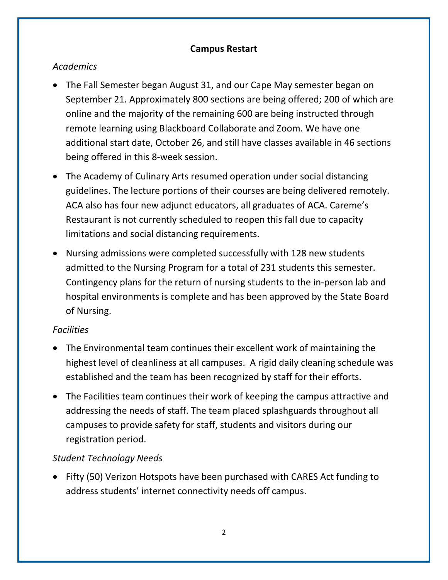#### **Campus Restart**

# *Academics*

- The Fall Semester began August 31, and our Cape May semester began on September 21. Approximately 800 sections are being offered; 200 of which are online and the majority of the remaining 600 are being instructed through remote learning using Blackboard Collaborate and Zoom. We have one additional start date, October 26, and still have classes available in 46 sections being offered in this 8-week session.
- The Academy of Culinary Arts resumed operation under social distancing guidelines. The lecture portions of their courses are being delivered remotely. ACA also has four new adjunct educators, all graduates of ACA. Careme's Restaurant is not currently scheduled to reopen this fall due to capacity limitations and social distancing requirements.
- Nursing admissions were completed successfully with 128 new students admitted to the Nursing Program for a total of 231 students this semester. Contingency plans for the return of nursing students to the in-person lab and hospital environments is complete and has been approved by the State Board of Nursing.

#### *Facilities*

- The Environmental team continues their excellent work of maintaining the highest level of cleanliness at all campuses. A rigid daily cleaning schedule was established and the team has been recognized by staff for their efforts.
- The Facilities team continues their work of keeping the campus attractive and addressing the needs of staff. The team placed splashguards throughout all campuses to provide safety for staff, students and visitors during our registration period.

# *Student Technology Needs*

• Fifty (50) Verizon Hotspots have been purchased with CARES Act funding to address students' internet connectivity needs off campus.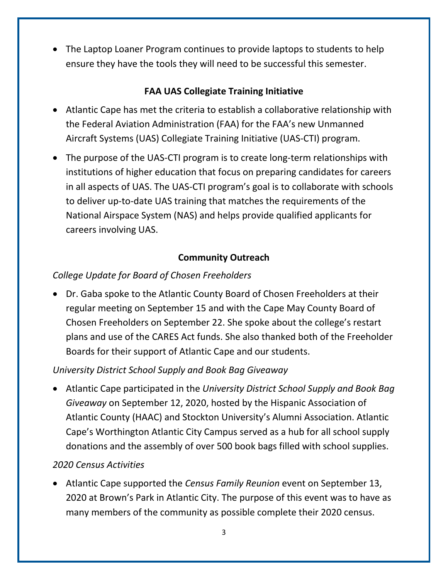• The Laptop Loaner Program continues to provide laptops to students to help ensure they have the tools they will need to be successful this semester.

#### **FAA UAS Collegiate Training Initiative**

- Atlantic Cape has met the criteria to establish a collaborative relationship with the Federal Aviation Administration (FAA) for the FAA's new Unmanned Aircraft Systems (UAS) Collegiate Training Initiative (UAS-CTI) program.
- The purpose of the UAS-CTI program is to create long-term relationships with institutions of higher education that focus on preparing candidates for careers in all aspects of UAS. The UAS-CTI program's goal is to collaborate with schools to deliver up-to-date UAS training that matches the requirements of the National Airspace System (NAS) and helps provide qualified applicants for careers involving UAS.

#### **Community Outreach**

# *College Update for Board of Chosen Freeholders*

• Dr. Gaba spoke to the Atlantic County Board of Chosen Freeholders at their regular meeting on September 15 and with the Cape May County Board of Chosen Freeholders on September 22. She spoke about the college's restart plans and use of the CARES Act funds. She also thanked both of the Freeholder Boards for their support of Atlantic Cape and our students.

# *University District School Supply and Book Bag Giveaway*

• Atlantic Cape participated in the *University District School Supply and Book Bag Giveaway* on September 12, 2020, hosted by the Hispanic Association of Atlantic County (HAAC) and Stockton University's Alumni Association. Atlantic Cape's Worthington Atlantic City Campus served as a hub for all school supply donations and the assembly of over 500 book bags filled with school supplies.

# *2020 Census Activities*

• Atlantic Cape supported the *Census Family Reunion* event on September 13, 2020 at Brown's Park in Atlantic City. The purpose of this event was to have as many members of the community as possible complete their 2020 census.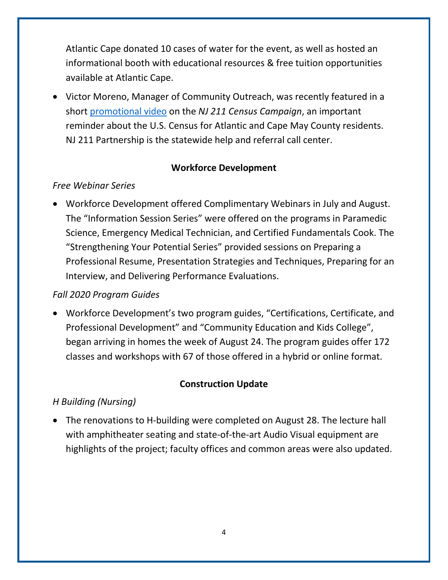Atlantic Cape donated 10 cases of water for the event, as well as hosted an informational booth with educational resources & free tuition opportunities available at Atlantic Cape.

• Victor Moreno, Manager of Community Outreach, was recently featured in a short [promotional video](https://www.facebook.com/watch/?v=361830748175180&extid=zXyRwsQgsMbCLFTG) on the *NJ 211 Census Campaign*, an important reminder about the U.S. Census for Atlantic and Cape May County residents. NJ 211 Partnership is the statewide help and referral call center.

# **Workforce Development**

# *Free Webinar Series*

• Workforce Development offered Complimentary Webinars in July and August. The "Information Session Series" were offered on the programs in Paramedic Science, Emergency Medical Technician, and Certified Fundamentals Cook. The "Strengthening Your Potential Series" provided sessions on Preparing a Professional Resume, Presentation Strategies and Techniques, Preparing for an Interview, and Delivering Performance Evaluations.

# *Fall 2020 Program Guides*

• Workforce Development's two program guides, "Certifications, Certificate, and Professional Development" and "Community Education and Kids College", began arriving in homes the week of August 24. The program guides offer 172 classes and workshops with 67 of those offered in a hybrid or online format.

# **Construction Update**

# *H Building (Nursing)*

• The renovations to H-building were completed on August 28. The lecture hall with amphitheater seating and state-of-the-art Audio Visual equipment are highlights of the project; faculty offices and common areas were also updated.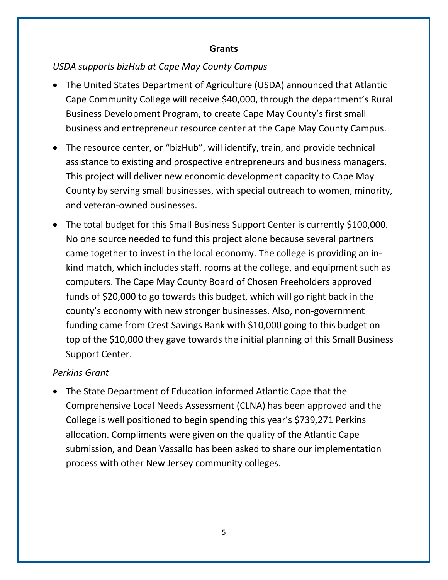#### **Grants**

#### *USDA supports bizHub at Cape May County Campus*

- The United States Department of Agriculture (USDA) announced that Atlantic Cape Community College will receive \$40,000, through the department's Rural Business Development Program, to create Cape May County's first small business and entrepreneur resource center at the Cape May County Campus.
- The resource center, or "bizHub", will identify, train, and provide technical assistance to existing and prospective entrepreneurs and business managers. This project will deliver new economic development capacity to Cape May County by serving small businesses, with special outreach to women, minority, and veteran-owned businesses.
- The total budget for this Small Business Support Center is currently \$100,000. No one source needed to fund this project alone because several partners came together to invest in the local economy. The college is providing an inkind match, which includes staff, rooms at the college, and equipment such as computers. The Cape May County Board of Chosen Freeholders approved funds of \$20,000 to go towards this budget, which will go right back in the county's economy with new stronger businesses. Also, non-government funding came from Crest Savings Bank with \$10,000 going to this budget on top of the \$10,000 they gave towards the initial planning of this Small Business Support Center.

#### *Perkins Grant*

• The State Department of Education informed Atlantic Cape that the Comprehensive Local Needs Assessment (CLNA) has been approved and the College is well positioned to begin spending this year's \$739,271 Perkins allocation. Compliments were given on the quality of the Atlantic Cape submission, and Dean Vassallo has been asked to share our implementation process with other New Jersey community colleges.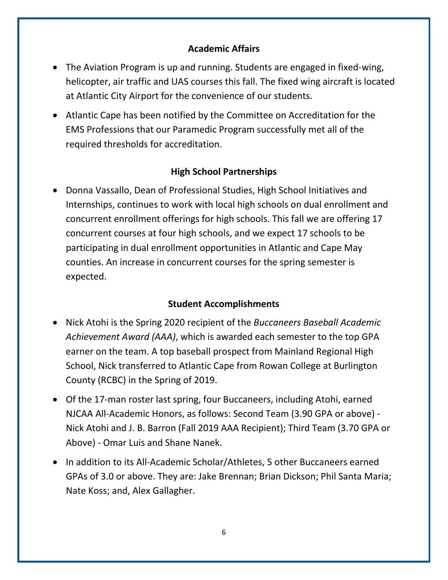#### **Academic Affairs**

- The Aviation Program is up and running. Students are engaged in fixed-wing, helicopter, air traffic and UAS courses this fall. The fixed wing aircraft is located at Atlantic City Airport for the convenience of our students.
- Atlantic Cape has been notified by the Committee on Accreditation for the EMS Professions that our Paramedic Program successfully met all of the required thresholds for accreditation.

# **High School Partnerships**

• Donna Vassallo, Dean of Professional Studies, High School Initiatives and Internships, continues to work with local high schools on dual enrollment and concurrent enrollment offerings for high schools. This fall we are offering 17 concurrent courses at four high schools, and we expect 17 schools to be participating in dual enrollment opportunities in Atlantic and Cape May counties. An increase in concurrent courses for the spring semester is expected.

#### **Student Accomplishments**

- Nick Atohi is the Spring 2020 recipient of the *Buccaneers Baseball Academic Achievement Award (AAA)*, which is awarded each semester to the top GPA earner on the team. A top baseball prospect from Mainland Regional High School, Nick transferred to Atlantic Cape from Rowan College at Burlington County (RCBC) in the Spring of 2019.
- Of the 17-man roster last spring, four Buccaneers, including Atohi, earned NJCAA All-Academic Honors, as follows: Second Team (3.90 GPA or above) - Nick Atohi and J. B. Barron (Fall 2019 AAA Recipient); Third Team (3.70 GPA or Above) - Omar Luis and Shane Nanek.
- In addition to its All-Academic Scholar/Athletes, 5 other Buccaneers earned GPAs of 3.0 or above. They are: Jake Brennan; Brian Dickson; Phil Santa Maria; Nate Koss; and, Alex Gallagher.